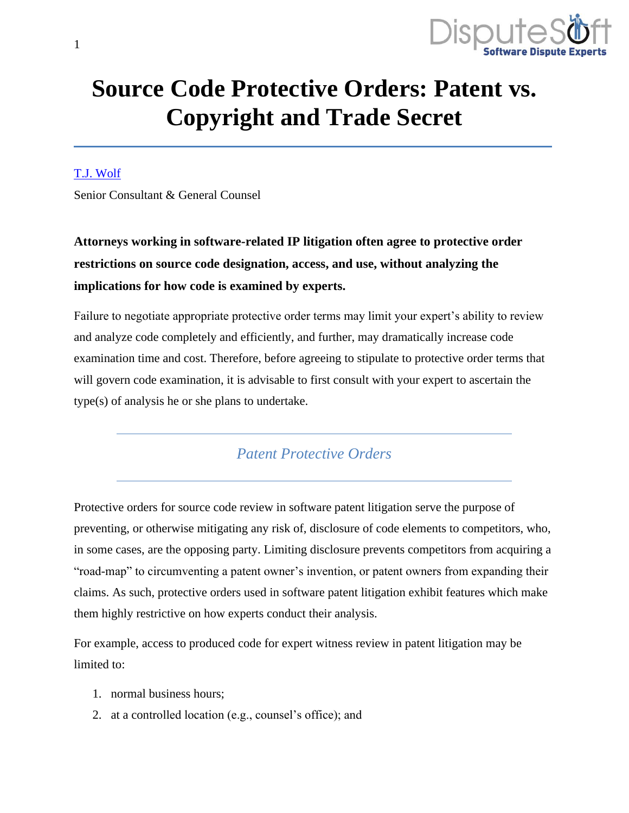

# **Source Code Protective Orders: Patent vs. Copyright and Trade Secret**

#### [T.J. Wolf](https://www.disputesoft.com/experts/t-j-wolf/)

Senior Consultant & General Counsel

**Attorneys working in software-related IP litigation often agree to protective order restrictions on source code designation, access, and use, without analyzing the implications for how code is examined by experts.**

Failure to negotiate appropriate protective order terms may limit your expert's ability to review and analyze code completely and efficiently, and further, may dramatically increase code examination time and cost. Therefore, before agreeing to stipulate to protective order terms that will govern code examination, it is advisable to first consult with your expert to ascertain the type(s) of analysis he or she plans to undertake.

### *Patent Protective Orders*

Protective orders for source code review in software patent litigation serve the purpose of preventing, or otherwise mitigating any risk of, disclosure of code elements to competitors, who, in some cases, are the opposing party. Limiting disclosure prevents competitors from acquiring a "road-map" to circumventing a patent owner's invention, or patent owners from expanding their claims. As such, protective orders used in software patent litigation exhibit features which make them highly restrictive on how experts conduct their analysis.

For example, access to produced code for expert witness review in patent litigation may be limited to:

- 1. normal business hours;
- 2. at a controlled location (e.g., counsel's office); and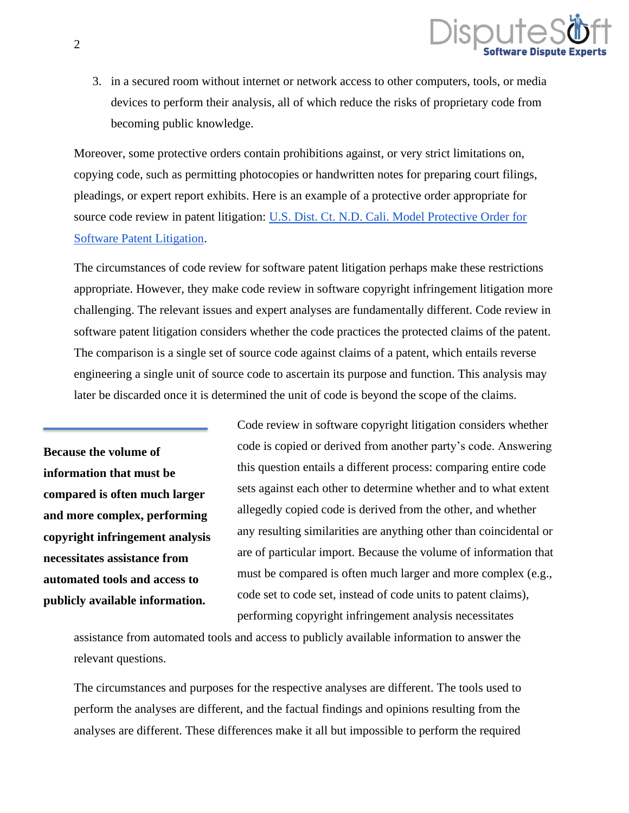

3. in a secured room without internet or network access to other computers, tools, or media devices to perform their analysis, all of which reduce the risks of proprietary code from becoming public knowledge.

Moreover, some protective orders contain prohibitions against, or very strict limitations on, copying code, such as permitting photocopies or handwritten notes for preparing court filings, pleadings, or expert report exhibits. Here is an example of a protective order appropriate for source code review in patent litigation: [U.S. Dist. Ct. N.D. Cali. Model Protective Order for](https://www.disputesoft.com/wp-content/uploads/2019/12/U.S.-District-Model-PO-for-Software-Patent-Litigation.docx)  [Software Patent Litigation.](https://www.disputesoft.com/wp-content/uploads/2019/12/U.S.-District-Model-PO-for-Software-Patent-Litigation.docx)

The circumstances of code review for software patent litigation perhaps make these restrictions appropriate. However, they make code review in software copyright infringement litigation more challenging. The relevant issues and expert analyses are fundamentally different. Code review in software patent litigation considers whether the code practices the protected claims of the patent. The comparison is a single set of source code against claims of a patent, which entails reverse engineering a single unit of source code to ascertain its purpose and function. This analysis may later be discarded once it is determined the unit of code is beyond the scope of the claims.

**Because the volume of information that must be compared is often much larger and more complex, performing copyright infringement analysis necessitates assistance from automated tools and access to publicly available information.**

Code review in software copyright litigation considers whether code is copied or derived from another party's code. Answering this question entails a different process: comparing entire code sets against each other to determine whether and to what extent allegedly copied code is derived from the other, and whether any resulting similarities are anything other than coincidental or are of particular import. Because the volume of information that must be compared is often much larger and more complex (e.g., code set to code set, instead of code units to patent claims), performing copyright infringement analysis necessitates

assistance from automated tools and access to publicly available information to answer the relevant questions.

The circumstances and purposes for the respective analyses are different. The tools used to perform the analyses are different, and the factual findings and opinions resulting from the analyses are different. These differences make it all but impossible to perform the required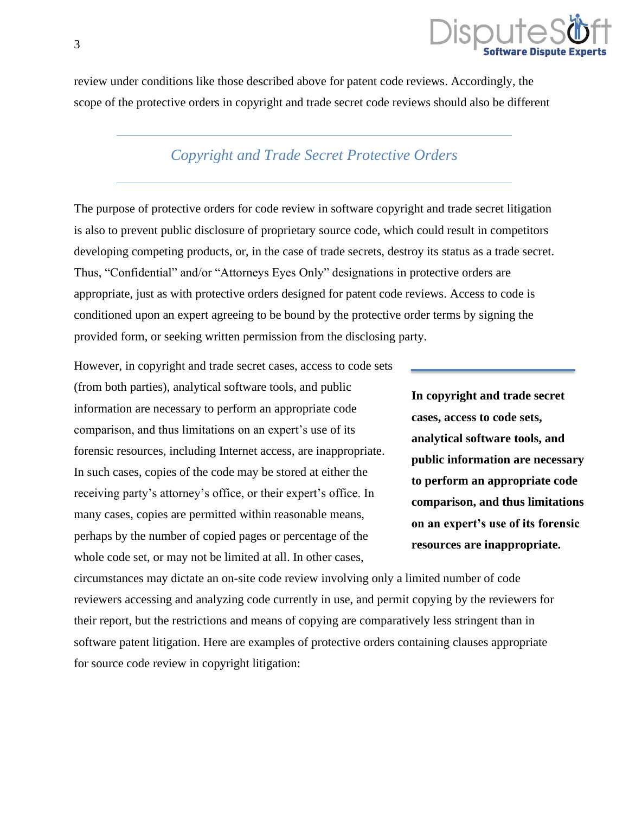

review under conditions like those described above for patent code reviews. Accordingly, the scope of the protective orders in copyright and trade secret code reviews should also be different

## *Copyright and Trade Secret Protective Orders*

The purpose of protective orders for code review in software copyright and trade secret litigation is also to prevent public disclosure of proprietary source code, which could result in competitors developing competing products, or, in the case of trade secrets, destroy its status as a trade secret. Thus, "Confidential" and/or "Attorneys Eyes Only" designations in protective orders are appropriate, just as with protective orders designed for patent code reviews. Access to code is conditioned upon an expert agreeing to be bound by the protective order terms by signing the provided form, or seeking written permission from the disclosing party.

However, in copyright and trade secret cases, access to code sets (from both parties), analytical software tools, and public information are necessary to perform an appropriate code comparison, and thus limitations on an expert's use of its forensic resources, including Internet access, are inappropriate. In such cases, copies of the code may be stored at either the receiving party's attorney's office, or their expert's office. In many cases, copies are permitted within reasonable means, perhaps by the number of copied pages or percentage of the whole code set, or may not be limited at all. In other cases,

**In copyright and trade secret cases, access to code sets, analytical software tools, and public information are necessary to perform an appropriate code comparison, and thus limitations on an expert's use of its forensic resources are inappropriate.**

circumstances may dictate an on-site code review involving only a limited number of code reviewers accessing and analyzing code currently in use, and permit copying by the reviewers for their report, but the restrictions and means of copying are comparatively less stringent than in software patent litigation. Here are examples of protective orders containing clauses appropriate for source code review in copyright litigation: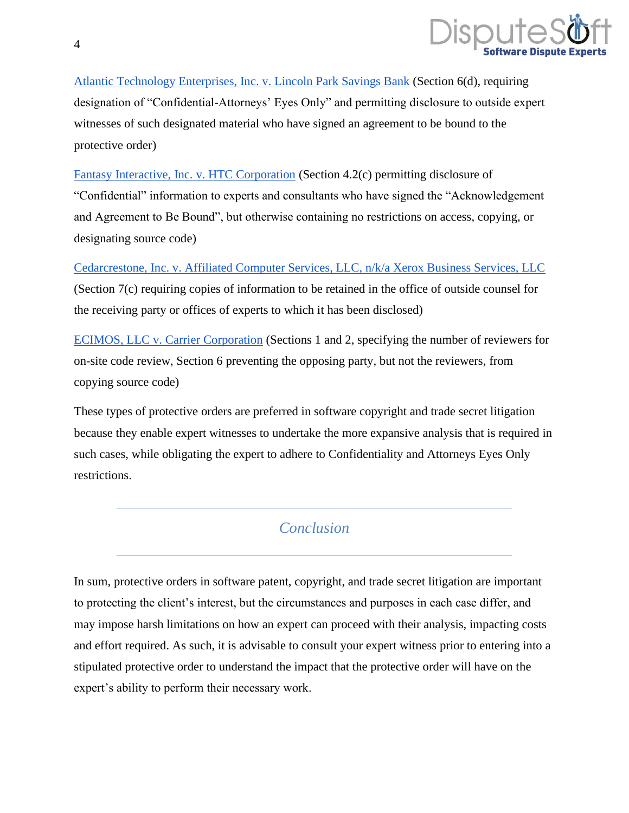

[Atlantic Technology Enterprises, Inc. v. Lincoln Park Savings Bank](https://www.disputesoft.com/wp-content/uploads/2019/12/Atlantic-Technology-v.-Lincoln-Park-Savings-Bank-PO.pdf) (Section 6(d), requiring designation of "Confidential-Attorneys' Eyes Only" and permitting disclosure to outside expert witnesses of such designated material who have signed an agreement to be bound to the protective order)

[Fantasy Interactive, Inc. v. HTC Corporation](https://www.disputesoft.com/wp-content/uploads/2019/12/Fantasy-Interactive-v.-HTC-Corporation-PO.pdf) (Section 4.2(c) permitting disclosure of "Confidential" information to experts and consultants who have signed the "Acknowledgement and Agreement to Be Bound", but otherwise containing no restrictions on access, copying, or designating source code)

[Cedarcrestone, Inc. v. Affiliated Computer Services, LLC, n/k/a Xerox Business Services, LLC](https://www.disputesoft.com/wp-content/uploads/2019/12/Cedarcrestone-v.-Xerox-PO.pdf) (Section 7(c) requiring copies of information to be retained in the office of outside counsel for the receiving party or offices of experts to which it has been disclosed)

[ECIMOS, LLC v. Carrier Corporation](https://www.disputesoft.com/wp-content/uploads/2019/12/Ecimos-v.-Carrier-Corporation-PO.pdf) (Sections 1 and 2, specifying the number of reviewers for on-site code review, Section 6 preventing the opposing party, but not the reviewers, from copying source code)

These types of protective orders are preferred in software copyright and trade secret litigation because they enable expert witnesses to undertake the more expansive analysis that is required in such cases, while obligating the expert to adhere to Confidentiality and Attorneys Eyes Only restrictions.

## *Conclusion*

In sum, protective orders in software patent, copyright, and trade secret litigation are important to protecting the client's interest, but the circumstances and purposes in each case differ, and may impose harsh limitations on how an expert can proceed with their analysis, impacting costs and effort required. As such, it is advisable to consult your expert witness prior to entering into a stipulated protective order to understand the impact that the protective order will have on the expert's ability to perform their necessary work.